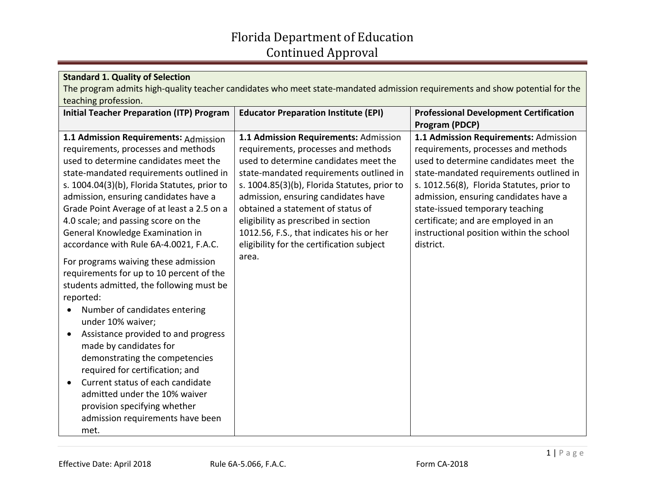## Florida Department of Education Continued Approval

| <b>Standard 1. Quality of Selection</b>                                                                                      |                                                                              |                                                                              |  |  |
|------------------------------------------------------------------------------------------------------------------------------|------------------------------------------------------------------------------|------------------------------------------------------------------------------|--|--|
| The program admits high-quality teacher candidates who meet state-mandated admission requirements and show potential for the |                                                                              |                                                                              |  |  |
| teaching profession.                                                                                                         |                                                                              |                                                                              |  |  |
| <b>Initial Teacher Preparation (ITP) Program</b>                                                                             | <b>Educator Preparation Institute (EPI)</b>                                  | <b>Professional Development Certification</b>                                |  |  |
|                                                                                                                              |                                                                              | Program (PDCP)                                                               |  |  |
| 1.1 Admission Requirements: Admission<br>requirements, processes and methods                                                 | 1.1 Admission Requirements: Admission<br>requirements, processes and methods | 1.1 Admission Requirements: Admission<br>requirements, processes and methods |  |  |
| used to determine candidates meet the                                                                                        | used to determine candidates meet the                                        | used to determine candidates meet the                                        |  |  |
| state-mandated requirements outlined in                                                                                      | state-mandated requirements outlined in                                      | state-mandated requirements outlined in                                      |  |  |
| s. 1004.04(3)(b), Florida Statutes, prior to                                                                                 | s. 1004.85(3)(b), Florida Statutes, prior to                                 | s. 1012.56(8), Florida Statutes, prior to                                    |  |  |
| admission, ensuring candidates have a                                                                                        | admission, ensuring candidates have                                          | admission, ensuring candidates have a                                        |  |  |
| Grade Point Average of at least a 2.5 on a                                                                                   | obtained a statement of status of                                            | state-issued temporary teaching                                              |  |  |
| 4.0 scale; and passing score on the                                                                                          | eligibility as prescribed in section                                         | certificate; and are employed in an                                          |  |  |
| General Knowledge Examination in                                                                                             | 1012.56, F.S., that indicates his or her                                     | instructional position within the school                                     |  |  |
| accordance with Rule 6A-4.0021, F.A.C.                                                                                       | eligibility for the certification subject                                    | district.                                                                    |  |  |
| For programs waiving these admission                                                                                         | area.                                                                        |                                                                              |  |  |
| requirements for up to 10 percent of the                                                                                     |                                                                              |                                                                              |  |  |
| students admitted, the following must be                                                                                     |                                                                              |                                                                              |  |  |
| reported:                                                                                                                    |                                                                              |                                                                              |  |  |
| Number of candidates entering<br>$\bullet$<br>under 10% waiver;                                                              |                                                                              |                                                                              |  |  |
| Assistance provided to and progress<br>$\bullet$                                                                             |                                                                              |                                                                              |  |  |
| made by candidates for                                                                                                       |                                                                              |                                                                              |  |  |
| demonstrating the competencies<br>required for certification; and                                                            |                                                                              |                                                                              |  |  |
| Current status of each candidate<br>$\bullet$                                                                                |                                                                              |                                                                              |  |  |
| admitted under the 10% waiver                                                                                                |                                                                              |                                                                              |  |  |
|                                                                                                                              |                                                                              |                                                                              |  |  |
|                                                                                                                              |                                                                              |                                                                              |  |  |
| met.                                                                                                                         |                                                                              |                                                                              |  |  |
| provision specifying whether<br>admission requirements have been                                                             |                                                                              |                                                                              |  |  |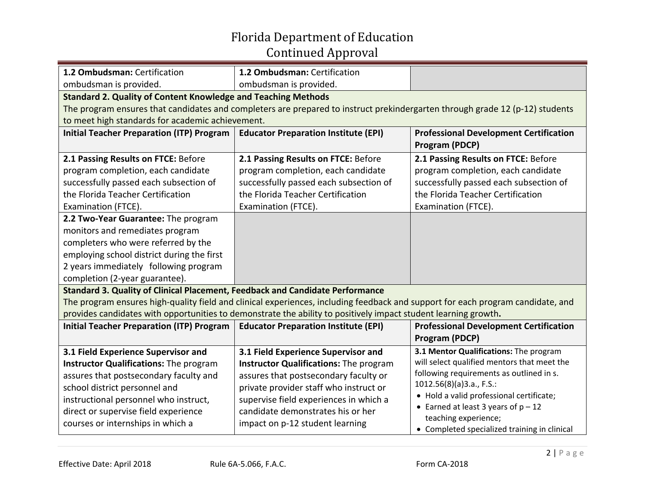## Florida Department of Education Continued Approval

| 1.2 Ombudsman: Certification                                                                                                    | 1.2 Ombudsman: Certification                                                                                                 |                                                                 |  |  |
|---------------------------------------------------------------------------------------------------------------------------------|------------------------------------------------------------------------------------------------------------------------------|-----------------------------------------------------------------|--|--|
| ombudsman is provided.                                                                                                          | ombudsman is provided.                                                                                                       |                                                                 |  |  |
| <b>Standard 2. Quality of Content Knowledge and Teaching Methods</b>                                                            |                                                                                                                              |                                                                 |  |  |
|                                                                                                                                 | The program ensures that candidates and completers are prepared to instruct prekindergarten through grade 12 (p-12) students |                                                                 |  |  |
| to meet high standards for academic achievement.                                                                                |                                                                                                                              |                                                                 |  |  |
| <b>Initial Teacher Preparation (ITP) Program</b>                                                                                | <b>Educator Preparation Institute (EPI)</b>                                                                                  | <b>Professional Development Certification</b><br>Program (PDCP) |  |  |
| 2.1 Passing Results on FTCE: Before                                                                                             | 2.1 Passing Results on FTCE: Before                                                                                          | 2.1 Passing Results on FTCE: Before                             |  |  |
| program completion, each candidate                                                                                              | program completion, each candidate                                                                                           | program completion, each candidate                              |  |  |
| successfully passed each subsection of                                                                                          | successfully passed each subsection of                                                                                       | successfully passed each subsection of                          |  |  |
| the Florida Teacher Certification                                                                                               | the Florida Teacher Certification                                                                                            | the Florida Teacher Certification                               |  |  |
| Examination (FTCE).                                                                                                             | Examination (FTCE).                                                                                                          | Examination (FTCE).                                             |  |  |
| 2.2 Two-Year Guarantee: The program                                                                                             |                                                                                                                              |                                                                 |  |  |
| monitors and remediates program                                                                                                 |                                                                                                                              |                                                                 |  |  |
| completers who were referred by the                                                                                             |                                                                                                                              |                                                                 |  |  |
| employing school district during the first                                                                                      |                                                                                                                              |                                                                 |  |  |
| 2 years immediately following program                                                                                           |                                                                                                                              |                                                                 |  |  |
| completion (2-year guarantee).                                                                                                  |                                                                                                                              |                                                                 |  |  |
| Standard 3. Quality of Clinical Placement, Feedback and Candidate Performance                                                   |                                                                                                                              |                                                                 |  |  |
| The program ensures high-quality field and clinical experiences, including feedback and support for each program candidate, and |                                                                                                                              |                                                                 |  |  |
| provides candidates with opportunities to demonstrate the ability to positively impact student learning growth.                 |                                                                                                                              |                                                                 |  |  |
| <b>Initial Teacher Preparation (ITP) Program</b>                                                                                | <b>Educator Preparation Institute (EPI)</b>                                                                                  | <b>Professional Development Certification</b>                   |  |  |
|                                                                                                                                 |                                                                                                                              | <b>Program (PDCP)</b>                                           |  |  |
| 3.1 Field Experience Supervisor and                                                                                             | 3.1 Field Experience Supervisor and                                                                                          | 3.1 Mentor Qualifications: The program                          |  |  |
| Instructor Qualifications: The program                                                                                          | Instructor Qualifications: The program                                                                                       | will select qualified mentors that meet the                     |  |  |
| assures that postsecondary faculty and                                                                                          | assures that postsecondary faculty or                                                                                        | following requirements as outlined in s.                        |  |  |
| school district personnel and                                                                                                   | private provider staff who instruct or                                                                                       | 1012.56(8)(a)3.a., F.S.:                                        |  |  |
| instructional personnel who instruct,                                                                                           | supervise field experiences in which a                                                                                       | • Hold a valid professional certificate;                        |  |  |
| direct or supervise field experience                                                                                            | candidate demonstrates his or her                                                                                            | • Earned at least 3 years of $p - 12$<br>teaching experience;   |  |  |
| courses or internships in which a                                                                                               | impact on p-12 student learning                                                                                              | • Completed specialized training in clinical                    |  |  |